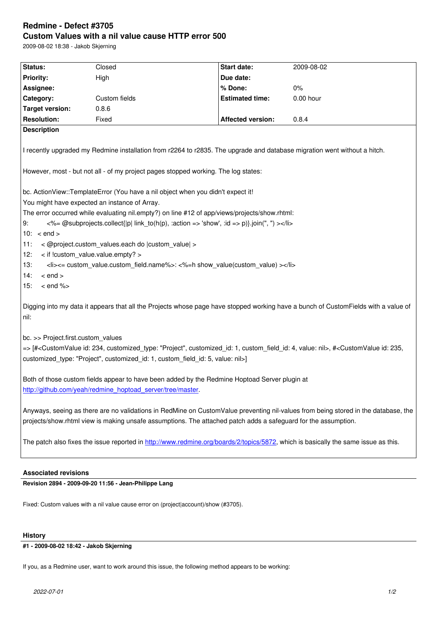#### **Custom Values with a nil value cause HTTP error 500**

2009-08-02 18:38 - Jakob Skjerning

| Status:                                                                                                                                                                                                                                                                                | Closed        | Start date:            | 2009-08-02  |
|----------------------------------------------------------------------------------------------------------------------------------------------------------------------------------------------------------------------------------------------------------------------------------------|---------------|------------------------|-------------|
| <b>Priority:</b>                                                                                                                                                                                                                                                                       | High          | Due date:              |             |
| Assignee:                                                                                                                                                                                                                                                                              |               | % Done:                | 0%          |
| Category:                                                                                                                                                                                                                                                                              | Custom fields | <b>Estimated time:</b> | $0.00$ hour |
| <b>Target version:</b>                                                                                                                                                                                                                                                                 | 0.8.6         |                        |             |
| <b>Resolution:</b>                                                                                                                                                                                                                                                                     | Fixed         | Affected version:      | 0.8.4       |
| <b>Description</b><br>I recently upgraded my Redmine installation from r2264 to r2835. The upgrade and database migration went without a hitch.                                                                                                                                        |               |                        |             |
| However, most - but not all - of my project pages stopped working. The log states:<br>bc. ActionView::TemplateError (You have a nil object when you didn't expect it!                                                                                                                  |               |                        |             |
| You might have expected an instance of Array.                                                                                                                                                                                                                                          |               |                        |             |
| The error occurred while evaluating nil.empty?) on line #12 of app/views/projects/show.rhtml:                                                                                                                                                                                          |               |                        |             |
| <%= @subprojects.collect{ p  link_to(h(p), :action => 'show', :id => p)}.join(", ") ><br>9:                                                                                                                                                                                            |               |                        |             |
| 10: $\lt$ end $>$                                                                                                                                                                                                                                                                      |               |                        |             |
| < @project.custom values.each do  custom value  ><br>11:                                                                                                                                                                                                                               |               |                        |             |
| < if !custom_value.value.empty? ><br>12:                                                                                                                                                                                                                                               |               |                        |             |
| <li>&lt;= custom_value.custom_field.name%&gt;: &lt;%=h show_value(custom_value) &gt;</li><br>13:                                                                                                                                                                                       |               |                        |             |
| 14:<br>$<$ end $>$                                                                                                                                                                                                                                                                     |               |                        |             |
| $<$ end % $>$<br>15:                                                                                                                                                                                                                                                                   |               |                        |             |
| Digging into my data it appears that all the Projects whose page have stopped working have a bunch of CustomFields with a value of<br>nil:                                                                                                                                             |               |                        |             |
| bc. >> Project.first.custom values                                                                                                                                                                                                                                                     |               |                        |             |
| => [# <customvalue "project",="" 1,="" 234,="" 4,="" custom_field_id:="" customized_id:="" customized_type:="" id:="" nil="" value:="">, #<customvalue 235,<br="" id:="">customized_type: "Project", customized_id: 1, custom_field_id: 5, value: nil&gt;]</customvalue></customvalue> |               |                        |             |
| Both of those custom fields appear to have been added by the Redmine Hoptoad Server plugin at<br>http://github.com/yeah/redmine_hoptoad_server/tree/master.                                                                                                                            |               |                        |             |
| Anyways, seeing as there are no validations in RedMine on CustomValue preventing nil-values from being stored in the database, the<br>projects/show.rhtml view is making unsafe assumptions. The attached patch adds a safeguard for the assumption.                                   |               |                        |             |
| The patch also fixes the issue reported in http://www.redmine.org/boards/2/topics/5872, which is basically the same issue as this.                                                                                                                                                     |               |                        |             |

## **Associated revisions**

**Revision 2894 - 2009-09-20 11:56 - Jean-Phil[ippe Lang](http://www.redmine.org/boards/2/topics/5872)**

Fixed: Custom values with a nil value cause error on (project|account)/show (#3705).

#### **History**

## **#1 - 2009-08-02 18:42 - Jakob Skjerning**

If you, as a Redmine user, want to work around this issue, the following method appears to be working: